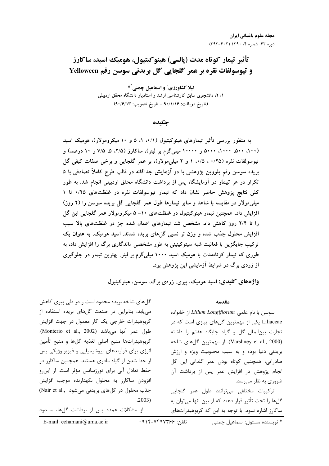# تأثير تيمار كوتاه مدت (يالسي) هينوكيتيول، هوميك اسيد، ساكارز و تيوسولفات نقره بر عمر گلجايي گل بريدني سوسن رقم Yelloween

لیلا کشاورزی<sup>۱</sup> و اسماعیل چمنی<sup>۲\*</sup> ۱، ۲، دانشجوی سابق کارشناسی ارشد و استادیار دانشگاه محقق اردبیلی (تاریخ دریافت: ۹۰/۱/۱۶ – تاریخ تصویب: ۹۰/۶/۱۳)

چکیده

به منظور بررسی تأثیر تیمارهای هینوکیتیول (۰/۱، ۵ ه و ۱۰ میکرومولار)، هومیک اسید (۱۰۰، ۵۰۰، ۱۰۰۰، ۵۰۰۰ و ۱۰۰۰۰ میلیگرم بر لیتر)، ساکارز (۲/۵، ۵، ۷/۵ و ۱۰ درصد) و تیوسولفات نقره (۰/۲۵ ، ۰/۵) ۱ و ۲ میلیمولار)، بر عمر گلجایی و برخی صفات کیفی گل بریده سوسن رقم یلووین پژوهشی با دو آزمایش جداگانه در قالب طرح کاملاً تصادفی با ۵ تکرار در هر تیمار در آزمایشگاه پس از برداشت دانشگاه محقق اردبیلی انجام شد. به طور کلی نتایج پژوهش حاضر نشان داد که تیمار تیوسولفات نقره در غلظتهای ۰/۲۵ تا ۱ میلی مولار در مقایسه با شاهد و سایر تیمارها طول عمر گلجایی گل بریده سوسن را (۲ روز) افزایش داد، همچنین تیمار هینوکیتیول در غلظتهای ۱۰- ۵ میکرومولار عمر گلجایی این گل را تا ۲/۴ روز کاهش داد. مشخص شد تیمارهای اعمال شده جز در غلظتهای بالا سبب افزایش محلول جذب شده و وزن تر نسبی گلهای بریده شدند. اسید هومیک، به عنوان یک ترکیب جایگزین با فعالیت شبه سیتوکینینی به طور مشخصی ماندگاری برگ را افزایش داد، به طوری که تیمار کوتاهمدت با هومیک اسید ۱۰۰۰ میلیگرم بر لیتر، بهترین تیمار در جلوگیری از زردی برگ در شرایط آزمایشی این پژوهش بود.

واژههای کلیدی: اسید هومیک، پیری، زردی برگ، سوسن، هینوکیتیول

مقدمه

سوسن با نام علمی Lilium Longiflorum از خانواده Liliaceae یکی از مهمترین گلهای پیازی است که در تجارت بين الملل گل و گياه جايگاه هفتم را داشته (Varshney et al., 2000)، از مهمترین گلهای شاخه بریدنی دنیا بوده و به سبب محبوبیت ویژه و ارزش صادراتی، همچنین کوتاه بودن عمر گلدانی این گل انجام پژوهش در افزایش عمر پس از برداشت آن ضروری به نظر میرسد.

تركيبات مختلفى مىتوانند طول عمر گلجايى گلها را تحت تأثیر قرار دهند که از بین آنها میتوان به ساکارز اشاره نمود. با توجه به این که کربوهیدراتهای

گلهای شاخه بریده محدود است و در طی پیری کاهش می یابد، بنابراین در صنعت گلهای بریده استفاده از کربوهیدرات خارجی یک کار معمول در جهت افزایش طول عمر آنها می باشد (Monterio et al., 2002). كربوهيدراتها منبع اصلى تغذيه كلها و منبع تأمين انرژی برای فرآیندهای بیوشیمیایی و فیزیولوژیکی پس از جدا شدن از گیاه مادری هستند. همچنین ساکارز در حفظ تعادل آبي براي تورژسانس مؤثر است. از اين رو افزودن ساكارز به محلول نگهدارنده موجب افزايش جذب محلول در گلهای بریدنی می شود ..Nair et al  $.2003)$ 

از مشکلات عمده پس از برداشت گلها، مسدود

\* نویسنده مسئول: اسماعیل چمنے

تلفن: ۷۴۹۷۳۶۶-۰۹۱۴-

E-mail: echamani@uma.ac.ir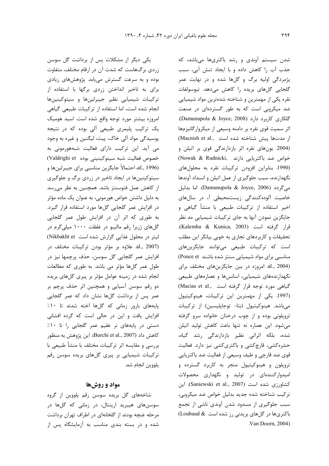یکی دیگر از مشکلات پس از برداشت گل سوسن زردی برگهاست که شدت آن در ارقام مختلف، متفاوت بوده و به سرعت گسترش مییابد. پژوهشهای زیادی برای به تاخیر انداختن زردی برگها با استفاده از تركيبات شيميايي نظير جيبرلينها و سيتوكينينها انجام شده است، اما استفاده از تركيبات طبيعي كياهي امروزه بيشتر مورد توجه واقع شده است. اسيد هوميك یک ترکیب پلیمری طبیعی آلی بوده که در نتیجه پوسیدگی مواد آلی خاک، پیت، لیگنین و غیره به وجود می آید. این ترکیب دارای فعالیت شبههورمونی به خصوص فعاليت شبه سيتوكينيني بوده Valdrighi et) (1996 ,.al، احتمالاً جايگزين مناسبي براي جيبرلينها و سیتوکینینها در ایجاد تاخیر در زردی برگ و جلوگیری از كاهش عمل فتوسنتز باشد. همچنین به نظر می رسد به دلیل داشتن خواص هورمونی، به عنوان یک ماده مؤثر در افزایش عمر گلجایی گلها مورد استفاده قرار گیرد. به طوری که اثر آن در افزایش طول عمر گلجایی گلهای ژربرا رقم مالیبو در غلظت ۱۰۰۰ میلی گرم در لیتر در محلول غذایی گزارش شده است Nikbakht et) al., 2007). علاوه بر مؤثر بودن تركيبات مختلف در افزایش عمر گلجایی گل سوسن، حذف پرچمها نیز در طول عمر گلها مؤثر می باشد. به طوری که مطالعات انجام شده در زمینه عوامل مؤثر بر پیری گلهای بریده دو رقم سوسن آسیایی و همچنین اثر حذف پرچم بر عمر پس از برداشت گلها نشان داد که عمر گلجایی یایههای بارور زمانی که گلها اخته شدند تا ۱۰٪ افزایش یافت و این در حالی است که گرده افشانی دستی در پایههای نر عقیم عمر گلجایی را تا ١٠٪ كاهش داد (Burchi et al., 2007). اين پژوهش به منظور بررسی و مقایسه اثر ترکیبات مختلف با منشأ طبیعی با ترکیبات شیمیایی بر پیری گلهای بریده سوسن رقم يلووين انجام شد.

### مواد و روشها

شاخههای گل بریده سوسن رقم یلووین از گروه سوسنهای هیبرید ارینتال، در زمانی که گلها در مرحله غنچه بودند از گلخانهای در اطراف تهران برداشت شده و در بسته بندی مناسب به آزمایشگاه پس از

شدن سیستم آوندی و رشد باکتریها میباشد، که جذب آب را كاهش داده و با ايجاد تنش آبي، سبب پژمردگی اولیه برگ و گلها شده و در نهایت عمر گلجایی گلهای بریده را کاهش میدهد. تیوسولفات نقره یکی از مهمترین و شناخته شدهترین مواد شیمیایی ضد میکروبی است که به طور گستردهای در صنعت .Damunupola & Joyce, 2008) (Damunupola & Joyce, 2008). اثر سمیت قوی نقره بر دامنه وسیعی از میکروارگانیزمها از مدتها پیش شناخته شده است .(Macnish et al (2004. یونهای نقره اثر بازدارندگی قوی بر اتیلن و خواص ضد باكتريايي دارند ,Nowak & Rudnicki) (1990. بنابراین افزودن ترکیبات نقره به محلول های نگهدارنده، سبب جلوگیری از عمل اتیلن و انسداد آوندها میگردد (Damunupola & Joyce, 2006). اما بدلیل خاصیت آلوده کنندگی زیستمحیطی آ، در سالهای اخیر استفاده از ترکیبات طبیعی با منشأ گیاهی و جایگزین نمودن آنها به جای ترکیبات شیمیایی مد نظر قرار گرفته است (Kalemba & Kunica, 2003). تحقیقات و کاربردهای تجاری به خوبی بیانگر این مطلب است که ترکیبات طبیعی میتوانند جایگزینهای مناسبی برای مواد شیمیایی سنتز شده باشند Ponce et) al., 2004). امروزه در بين جايگزين هاي مختلف براي نگهدارندههای شیمیایی، اسانسها و عصارههای طبیعی CMacias et al., الست (Macias et al., (1997. یکی از مهمترین این ترکیبات، هینوکیتیول می باشد. هینوکیتیول (بتا- توجاپلیسین) از ترکیبات تروپلونی بوده و از چوب درختان خانواده سرو گرفته می شود. این عصاره نه تنها باعث کاهش تولید اتیلن شده، بلکه اثراتی نظیر بازدارندگی رشد گیاه، حشره کشی، قارچ کشی و باکتری کشی نیز دارد. فعالیت قوی ضد قارچی و طیف وسیعی از فعالیت ضد باکتریایی تروپلون و هینوکیتیول منجر به کاربرد گسترده و امیدوارکنندهای در تولید و نگهداری محصولات كشاورزي شده است (Saniewski et al., 2007). اين ترکیب شناخته شده جدید بدلیل خواص ضد میکروبی، سبب جلوگیری از مسدود شدن آوندی ناشی از تجمع باکتریها در گلهای بریدنی رز شده است & Loubaud) Van Doorn, 2004).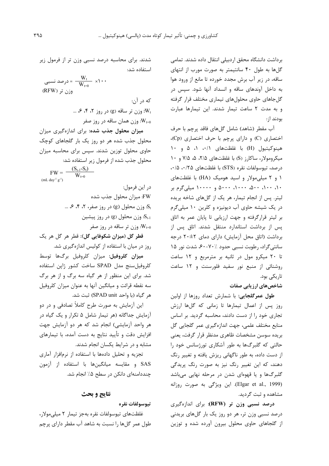برداشت دانشگاه محقق اردبیلی انتقال داده شدند. تمامی گلها به طول ۴۰ سانتیمتر به صورت مورب از انتهای ساقه، در زیر آب برش مجدد خورده تا مانع از ورود هوا به داخل آوندهای ساقه و انسداد آنها شود. سپس در گلجاهای حاوی محلولهای تیماری مختلف قرار گرفته و به مدت ٢ ساعت تيمار شدند. اين تيمارها عبارت بودند از:

آب مقطر (شاهد) شامل گلهای فاقد پرچم با حرف اختصاری (C) و دارای پرچم با حرف اختصاری (Cp)، هينوكيتيول (H) با غلظتهاى ٠/١، ١، ۵ و ١٠ میکرومولار، ساکارز (S) با غلظتهای ۲/۵، ۵، ۷/۵ و ۱۰ درصد، تیوسولفات نقره (STS) با غلظتهای ۰/۵ ۰/۱۵، ۱ و ۲ میلی مولار و اسید هومیک (HA) با غلظتهای ۱۰، ۱۰۰، ۵۰۰، ۱۰۰۰، ۵۰۰۰ و ۱۰۰۰۰ میلی گرم بر لیتر. پس از انجام تیمار، هر یک از گلهای شاخه بریده در یک شیشه حاوی آب دیونیزه و کلرین ۱۰ میلیگرم بر لیتر قرارگرفته و جهت ارزیابی تا پایان عمر به اتاق یس از برداشت استاندارد منتقل شدند. اتاق پس از برداشت (اتاق محل آزمایش) دارای دمای ۲+۲ درجه سانتي گراد، رطوبت نسبي حدود ۲۰/۰–۶۰، شدت نور ۱۵ تا ٢٠ ميكرو مول در ثانيه بر مترمربع و ١٢ ساعت روشنائی از منبع نور سفید فلورسنت و ١٢ ساعت تاریکی بود.

شاخصهای ارزیابی صفات

طول عمرگلجایی: با شمارش تعداد روزها از اولین روز پس از اعمال تیمارها تا زمانی که گلها ارزش تجاری خود را از دست دادند، محاسبه گردید. بر اساس منابع مختلف علمي، جهت اندازهگیری عمر گلجایی گل بريده سوسن مشخصات ظاهرى مدنظر قرار گرفت، يعنى حالتی که گلبرگها به طور آشکاری تورژسانس خود را از دست داده، به طور ناگهانی ریزش یافته و تغییر رنگ دهند، که این تغییر رنگ نیز به صورت رنگ پریدگی گلبرگها و یا قهوهای شدن در مرحله نهایی میباشد (Elgar et al., 1999). این ویژگی به صورت روزانه مشاهده و ثبت گردید.

درصد نسبی وزن تر (RFW): برای اندازهگیری درصد نسبی وزن تر، هر دو روز یک بار گلهای بریدنی از گلجاهای حاوی محلول بیرون آورده شده و توزین

شدند. برای محاسبه درصد نسبی وزن تر از فرمول زیر استفاده شد:

درصد نسبی $= \frac{W_t}{W_{t=0}} \times 1 \cdot \cdot$  $(RFW)$  وزن تر

كه در آن: ... ، ۴، ۴ وزن تر ساقه (g) در روز ۲، ۴، ۶، ... وزن همان ساقه در روز صفر  $W_{t=0}$ 

میزان محلول جذب شده: برای اندازهگیری میزان محلول جذب شده هر دو روز یک بار گلجاهای کوچک حاوی محلول توزین شدند. سپس برای محاسبه میزان محلول جذب شده از فرمول زیر استفاده شد:

 $FW = \frac{(S_{t-1}-S_t)}{V}$  $W_{t=0}$  $(mL \, day^{-1} g^{-1})$ 

> در اين فرمول: FW: میزان محلول جذب شده ... وزن محلول (g) در روز صفر، ۲، ۴، ۶، ...

> > وزن محلول (g) در روز پیشین S<sub>t-1</sub>

وزن تر ساقه در روز صفر  $W_{t=0}$ 

قطر گل (میزان شکوفایی گل): قطر هر گل هر یک روز در میان با استفاده از کولیس اندازهگیری شد.

ميزان كلروفيل: ميزان كلروفيل برگها توسط كلروفيل سنج مدل SPAD ساخت كشور ژاين استفاده شد. برای این منظور از هر گیاه سه برگ و از هر برگ سه نقطه قرائت و میانگین آنها به عنوان میزان کلروفیل هر گیاه (با واحد SPAD unit) ثبت شد.

این آزمایش به صورت طرح کاملاً تصادفی و در دو آزمایش جداگانه (هر تیمار شامل ۵ تکرار و یک گیاه در هر واحد آزمایشی) انجام شد که هر دو آزمایش جهت افزایش دقت و تأیید نتایج به دست آمده، با تیمارهای مشابه و در شرایط یکسان انجام شدند.

تجزیه و تحلیل دادهها با استفاده از نرمافزار آماری SAS و مقايسه ميانگينها با استفاده از آزمون چنددامنهای دانکن در سطح ۵٪ انجام شد.

# نتايج و بحث

### تيوسولفات نقره

غلظتهای تیوسولفات نقره بهجز تیمار ۲ میلی مولار، طول عمر گلها را نسبت به شاهد آب مقطر دارای پرچم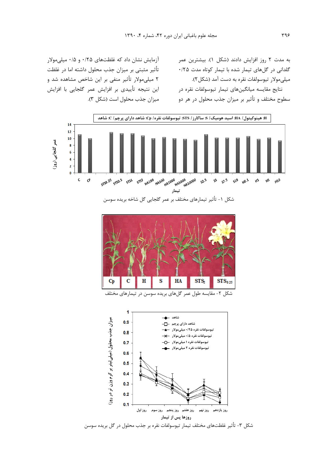به مدت ۲ روز افزایش دادند (شکل ۱). بیشترین عمر گلدانی در گلهای تیمار شده با تیمار کوتاه مدت ۲۵/۰ ميلي،مولار تيوسولفات نقره به دست آمد (شكل ٢). نتايج مقايسه ميانگينهاي تيمار تيوسولفات نقره در سطوح مختلف و تأثیر بر میزان جذب محلول در هر دو

آزمایش نشان داد که غلظتهای ۰/۲۵ و ۰/۵ میلی مولار تأثير مثبتي بر ميزان جذب محلول داشته اما در غلظت ۲ میلی مولار تأثیر منفی بر این شاخص مشاهده شد و این نتیجه تأییدی بر افزایش عمر گلجایی با افزایش میزان جذب محلول است (شکل ۳).



شکل ۱- تأثیر تیمارهای مختلف بر عمر گلجایی گل شاخه بریده سوسن



شکل ۲- مقایسه طول عمر گلهای بریده سوسن در تیمارهای مختلف



شکل ۳- تأثیر غلظتهای مختلف تیمار تیوسولفات نقره بر جذب محلول در گل بریده سوسن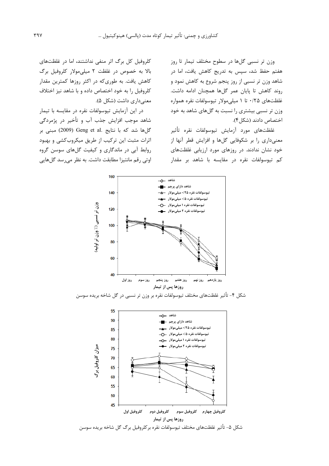وزن تر نسبی گلها در سطوح مختلف تیمار تا روز هفتم حفظ شد، سپس به تدریج کاهش یافت، اما در شاهد وزن تر نسبی از روز پنجم شروع به کاهش نمود و روند كاهش تا پايان عمر گلها همچنان ادامه داشت. غلظتهای ۰/۲۵ تا ۱ میلی مولار تیوسولفات نقره همواره وزن تر نسبی بیشتری را نسبت به گلهای شاهد به خود اختصاص دادند (شكل ۴).

غلظتهاي مورد آزمايش تيوسولفات نقره تأثير معنیداری را بر شکوفایی گلها و افزایش قطر آنها از خود نشان ندادند. در روزهای مورد ارزیابی غلظتهای کم تیوسولفات نقره در مقایسه با شاهد بر مقدار

کلروفیل کل برگ اثر منفی نداشتند، اما در غلظتهای بالا به خصوص در غلظت ۲ میلی مولار کلروفیل برگ کاهش یافت. به طوریکه در اکثر روزها کمترین مقدار کلروفیل را به خود اختصاص داده و با شاهد نیز اختلاف معنے داری داشت (شکل ۵).

در این آزمایش تیوسولفات نقره در مقایسه با تیمار شاهد موجب افزايش جذب آب و تأخير در پژمردگي گل ها شد که با نتایج .Geng et al (2009) مبنی بر اثرات مثبت این ترکیب از طریق میکروبکشی و بهبود روابط آبی در ماندگاری و کیفیت گلهای سوسن گروه اوتی رقم مانتیزا مطابقت داشت. به نظر می رسد گل هایی



شکل ۴- تأثیر غلظتهای مختلف تیوسولفات نقره بر وزن تر نسبی در گل شاخه بریده سوسن

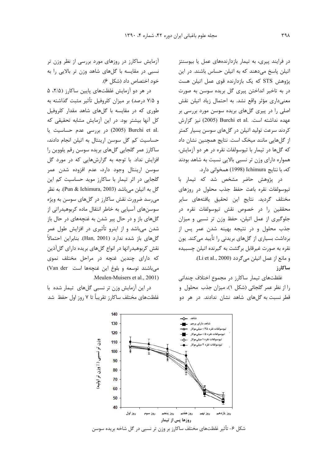در فرایند پیری، به تیمار بازدارندههای عمل یا بیوسنتز اتیلن پاسخ میدهند که به اتیلن حساس باشند. در این پژوهش STS که یک بازدارنده قوی عمل اتیلن هست در به تاخیر انداختن پیری گل بریده سوسن به صورت معنیداری مؤثر واقع نشد. به احتمال زیاد اتیلن نقش اصلی را در پیری گلهای بریده سوسن مورد بررسی بر عهده نداشته است. .Burchi et al (2005) نيز گزارش کردند سرعت تولید اتیلن در گلهای سوسن بسیار کمتر از گلهایی مانند میخک است. نتایج همچنین نشان داد كه گلها در تيمار با تيوسولفات نقره در هر دو آزمايش، همواره دارای وزن تر نسبی بالایی نسبت به شاهد بودند كه، با نتايج Ichimura (1998) همخواني دارد.

در پژوهش حاضر مشخص شد که تیمار با تيوسولفات نقره باعث حفظ جذب محلول در روزهاى مختلف گردید. نتایج این تحقیق یافتههای سایر محققين را در خصوص نقش تيوسولفات نقره در جلوگیری از عمل اتیلن، حفظ وزن تر نسبی و میزان جذب محلول و در نتيجه بهينه شدن عمر پس از برداشت بسیاری از گلهای بریدنی را تأیید میکند. یون نقره به صورت غیرقابل برگشت به گیرنده اتیلن چسبیده و مانع از عمل اتيلن مي گردد (Li et al., 2000). ساكارز

غلظتهای تیمار ساکارز در مجموع اختلاف چندانی را از نظر عمر گلجائی (شکل ۱)، میزان جذب محلول و قطر نسبت به گلهای شاهد نشان ندادند. در هر دو

آزمایش ساکارز در روزهای مورد بررسی از نظر وزن تر نسبی در مقایسه با گلهای شاهد وزن تر بالایی را به خود اختصاص داد (شکل ۶).

در هر دو آزمایش غلظتهای پایین ساکارز (۲/۵، ۵ و ۷/۵ درصد) بر میزان کلروفیل تأثیر مثبت گذاشته به طوری که در مقایسه با گلهای شاهد مقدار کلروفیل كل آنها بيشتر بود. در اين آزمايش مشابه تحقيقى كه در بررسی عدم حساسیت یا (2005) Contri et al. حساسیت کم گل سوسن ارینتال به اتیلن انجام دادند، ساکارز عمر گلجایی گلهای بریده سوسن رقم پلووین را افزایش نداد. با توجه به گزارشهایی که در مورد گل سوسن ارینتال وجود دارد، عدم افزوده شدن عمر گلجایی در اثر تیمار با ساکارز موید حساسیت کم این گل به اتيلن ميباشد (Pun & Ichimura, 2003). به نظر می رسد ضرورت نقش ساکارز در گلهای سوسن به ویژه سوسنهای آسیایی به خاطر انتقال ماده کربوهیدراتی از گلهای باز و در حال پیر شدن به غنچههای در حال باز شدن میباشد و از اینرو تأثیری در افزایش طول عمر گلهای باز شده ندارد (Han, 2001). بنابراین احتمالاً نقش کربوهیدراتها در انواع گلهای بریده دارای گلآذین که دارای چندین غنچه در مراحل مختلف نموی میباشند توسعه و بلوغ این غنچهها است Van der) Meulen-Muisers et al., 2001).

در این آزمایش وزن تر نسبی گلهای تیمار شده با غلظتهای مختلف ساکارز تقریباً تا ۷ روز اول حفظ شد



شکل ۶- تأثیر غلظتهای مختلف ساکارز بر وزن تر نسبی در گل شاخه بریده سوسن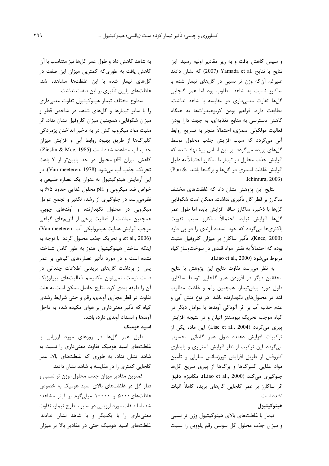و سپس کاهش یافت و به زیر مقادیر اولیه رسید. این نتايج با نتايج Yamada et al. د (2007) كه نشان دادند علیرغم آن که وزن تر نسبی در گلهای تیمار شده با ساکارز نسبت به شاهد مطلوب بود اما عمر گلجایی گلها تفاوت معنى دارى در مقايسه با شاهد نداشت، مطابقت دارد. فراهم بودن کربوهیدراتها به هنگام کاهش دسترسی به منابع تغذیهای، به جهت دارا بودن فعاليت مولكولي اسمزى، احتمالاً منجر به تسريع روابط آبي مي گردد كه سبب افزايش جذب محلول توسط گلهای بریده میگردد. بر این اساس پیشنهاد شده که افزایش جذب محلول در تیمار با ساکارز احتمالاً به دلیل افزایش غلظت اسمزی در گلها و برگها باشد Pun & Jehimura, 2003).

نتایج این پژوهش نشان داد که غلظتهای مختلف ساکارز بر قطر گل تأثیری نداشت. ممکن است شکوفایی گلها با ذخیره ساکارز ساقه افزایش یابد، اما طول عمر گلها افزایش نیابد، احتمالاً ساکارز سبب تقویت باکتریها میگردد که خود انسداد آوندی را در یی دارد (Knee, 2000). تأثير ساكارز بر ميزان كلروفيل مثبت بوده که احتمالاً به نقش مواد قندی در سوختوساز گیاه مربوط مي شود (Liao et al., 2000).

به نظر میرسد تفاوت نتایج این پژوهش با نتایج محققین دیگر در افزودن عمر گلجایی توسط ساکارز، طول دوره پیشتیمار، همچنین رقم و غلظت مطلوب قند در محلولهای نگهدارنده باشد. هر نوع تنش آبی و عدم جذب آب بر اثر آلودگی آوندها یا عوامل دیگر در گیاه موجب تحریک بیوسنتز اتیلن و در نتیجه افزایش ییری میگردد (Lise et al., 2004). این ماده یکی از تركيبات افزايش دهنده طول عمر گلدانى محسوب میگردد. این ترکیب از نظر افزایش استواری و پایداری کلروفیل از طریق افزایش تورژسانس سلولی و تأمین مواد غذایی گلبرگها و برگها از پیری سریع گلها جلوگيري مي كند (Liao et al., 2000). مكانيزم دقيق اثر ساکارز بر عمر گلجایی گلهای بریده کاملاً اثبات نشده است.

# هينوكيتيول

تیمار با غلظتهای بالای هینوکیتیول وزن تر نسبی و میزان جذب محلول گل سوسن رقم پلووین را نسبت

به شاهد کاهش داد و طول عمر گلها نیز متناسب با آن کاهش یافت به طوریکه کمترین میزان این صفت در گلهای تیمار شده با این غلظتها مشاهده شد، غلظتهای پایین تأثیری بر این صفات نداشت.

سطوح مختلف تيمار هينوكيتيول تفاوت معنى دارى را با سایر تیمارها و گلهای شاهد در شاخص قطر و میزان شکوفایی، همچنین میزان کلروفیل نشان نداد. اثر مثبت مواد میکروب کش در به تاخیر انداختن پژمردگی گلبرگها از طریق بهبود روابط آبی و افزایش میزان جذب آب مشاهده شده است (Zieslin & Moe, 1985). كاهش ميزان pH محلول در حد پايينتر از ٧ باعث تحريک جذب آب مي شود (Van meeteren, 1978). در این آزمایش هینوکیتیول به عنوان یک عصاره طبیعی با خواص ضد میکروبی و pH محلول غذایی حدود ۶/۵ به نظرمی رسد در جلوگیری از رشد، تکثیر و تجمع عوامل میکروبی در محلول نگهدارنده و آوندهای چوبی، همچنین ممانعت از فعالیت برخی از آنزیمهای گیاهی موجب افزایش هدایت هیدرولیکی آب Van meeteren) et al., 2006)، وتحريك جذب محلول گردد. با توجه به اینکه ساختار هینوکیتیول هنوز به طور کامل شناخته نشده است و در مورد تأثیر عصارههای گیاهی بر عمر پس از برداشت گلهای بریدنی اطلاعات چندانی در دست نیست، نمی توان مکانیسم فعالیتهای بیولوژیک آن را طبقه بندی کرد. نتایج حاصل ممکن است به علت تفاوت در قطر مجاری آوندی، رقم و حتی شرایط رشدی گیاه که تأثیر معنیداری بر هوای مکیده شده به داخل آوندها و انسداد آوندی دارد، باشد.

اسید هومیک

طول عمر گلها در روزهای مورد ارزیابی با غلظتهای اسید هومیک تفاوت معنیداری را نسبت به شاهد نشان نداد، به طوری که غلظتهای بالا، عمر گلجایی کمتری را در مقایسه با شاهد نشان دادند.

كمترين مقادير ميزان جذب محلول، وزن تر نسبي و قطر گل در غلظتهای بالای اسید هومیک به خصوص غلظتهای ۵۰۰۰ و ۱۰۰۰۰ میلیگرم بر لیتر مشاهده شد، اما صفات مورد ارزیابی در سایر سطوح تیمار، تفاوت معنیداری را با یکدیگر و با شاهد نشان ندادند. غلظتهای اسید هومیک حتی در مقادیر بالا بر میزان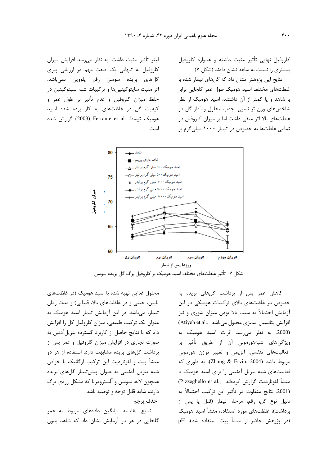لیتر تأثیر مثبت داشت. به نظر م<sub>ی(</sub>سد افزایش میزان کلروفیل به تنهایی یک صفت مهم در ارزیابی پیری گلهای بریده سوسن رقم یلووین نمیباشد. اثر مثبت سایتوکینینها و ترکیبات شبه سیتوکینین در حفظ میزان کلروفیل و عدم تأثیر بر طول عمر و کیفیت گل در غلظتهای به کار برده شده اسید هومیک توسط .Ferrante et al (2003) گزارش شده است.

كلروفيل نهايى تأثير مثبت داشته و همواره كلروفيل بیشتری را نسبت به شاهد نشان دادند (شکل ۷).

نتایج این پژوهش نشان داد که گلهای تیمار شده با غلظتهای مختلف اسید هومیک طول عمر گلجایی برابر با شاهد و یا کمتر از آن داشتند. اسید هومیک از نظر شاخصهای وزن تر نسبی، جذب محلول و قطر گل در غلظتهای بالا اثر منفی داشت اما بر میزان کلروفیل در تمامی غلظتها به خصوص در تیمار ۱۰۰۰ میلی گرم بر



شکل ۷- تأثیر غلظتهای مختلف اسید هومیک بر کلروفیل برگ گل بریده سوسن

محلول غذایی تهیه شده با اسید هومیک (در غلظتهای پایین، خنثی و در غلظتهای بالا، قلیایی) و مدت زمان تیمار، میباشد. در این آزمایش تیمار اسید هومیک به عنوان یک ترکیب طبیعی، میزان کلروفیل کل را افزایش داد که با نتایج حاصل از کاربرد گسترده بنزیل آدنین به صورت تجاری در افزایش میزان کلروفیل و عمر پس از برداشت گلهای بریده مشابهت دارد. استفاده از هر دو منشأ پیت و لئوناردیت این ترکیب ارگانیک با خواص شبه بنزیل آدنینی به عنوان پیشتیمار گلهای بریده همچون لاله، سوسن و آلسترومریا که مشکل زردی برگ دارند، شاید قابل توجه و توصیه باشد.

# حذف پرچم

نتایج مقایسه میانگین دادههای مربوط به عمر گلجایی در هر دو آزمایش نشان داد که شاهد بدون

کاهش عمر پس از برداشت گلهای بریده به خصوص در غلظتهای بالای ترکیبات هومیکی در این آزمایش احتمالاً به سبب بالا بودن میزان شوری و نیز افزايش پتانسيل اسمزى محلول مى باشد ..(Atiyeh et al (2000. به نظر میرسد اثرات اسید هومیک به ویژگیهای شبههورمونی آن از طریق تأثیر بر فعالیتهای تنفسی، آنزیمی و تغییر توازن هورمونی مربوط باشد (Zhang & Ervin, 2004)، به طوری که فعالیتهای شبه بنزیل آدنینی را برای اسید هومیک با (Pizzeghello et al., منشأ لئونارديت كزارش كردهاند) (2001. نتايج متفاوت در تأثير اين تركيب احتمالاً به دليل نوع گل، رقم، مرحله تيمار (قبل يا پس از برداشت)، غلظتهای مورد استفاده، منشأ اسید هومیک (در پژوهش حاضر از منشأ پيت استفاده شد)، pH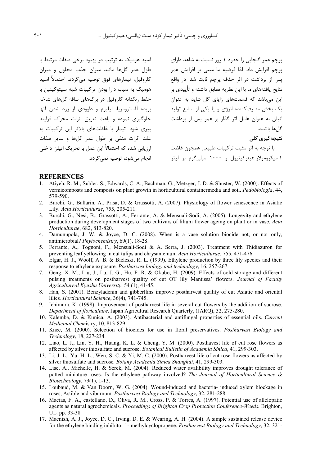اسید هومیک به ترتیب در بهبود برخی صفات مرتبط با طول عمر گلها مانند میزان جذب محلول و میزان کلروفیل، تیمارهای فوق توصیه میگردد. احتمالاً اسید هومیک به سبب دارا بودن ترکیبات شبه سیتوکینین با حفظ رنگدانه کلروفیل در برگهای ساقه گلهای شاخه بریده آلسترومریا، لیلیوم و داوودی از زرد شدن آنها جلوگیری نموده و باعث تعویق اثرات محرک فرایند ییری شود. تیمار با غلظتهای بالاتر این ترکیبات به علت اثرات منفى بر طول عمر گلها و ساير صفات ارزیابی شده که احتمالاً این عمل با تحریک اتیلن داخلی انجام مے شود، توصیه نمے گردد.

پرچم عمر گلجایی را حدود ۱ روز نسبت به شاهد دارای پرچم افزایش داد. لذا فرضیه ما مبنی بر افزایش عمر پس از برداشت در اثر حذف پرچم ثابت شد. در واقع نتایج یافتههای ما با این نظریه تطابق داشته و تأییدی بر این میباشد که قسمتهای زایای گل شاید به عنوان یک بخش مصرفکننده انرژی و یا یکی از منابع تولید اتیلن به عنوان عامل اثر گذار بر عمر پس از برداشت گل ها باشند.

نتىجەگىرى كلى

با توجه به اثر مثبت تركيبات طبيعي همچون غلظت ۱ میکرومولار هینوکیتیول و ۱۰۰۰ میلیگرم بر لیتر

#### **REFERENCES**

- 1. Atiyeh, R. M., Subler, S., Edwards, C. A., Bachman, G., Metzger, J. D. & Shuster, W. (2000). Effects of vermicomposts and composts on plant growth in horticultural containermedia and soil. Pedobiologia, 44, 579-590.
- 2. Burchi, G., Ballarin, A., Prisa, D. & Grassotti, A. (2007). Physiology of flower senescence in Asiatic Lily. Acta Horticulturae, 755, 205-211.
- 3. Burchi, G., Nesi, B., Grassotti, A., Ferrante, A. & Mensuali-Sodi, A. (2005). Longevity and ethylene production during development stages of two cultivars of lilium flower ageing on plant or in vase. Acta Horticulturae, 682, 813-820.
- 4. Damunupola, J. W. & Joyce, D. C. (2008). When is a vase solution biocide not, or not only, antimicrobial? Phytochemistry, 69(1), 18-28.
- 5. Ferrante, A., Tognoni, F., Mensuali-Sodi & A. Serra, J. (2003). Treatment with Thidiazuron for preventing leaf yellowing in cut tulips and chrysantemum Acta Horticulturae, 755, 471-476.
- 6. Elgar, H. J., Woolf, A. B. & Bieleski, R. L. (1999). Ethylene production by three lily species and their response to ethylene exposure. Postharvest biology and technology, 16, 257-267.
- 7. Geng, X. M., Liu, J., Lu, J. G., Hu, F. R. & Okubo, H. (2009). Effects of cold storage and different pulsing treatments on postharvest quality of cut OT lily Mantissa' flowers. Journal of Faculty Agricultureal Kyushu University, 54 (1), 41-45.
- 8. Han, S. (2001). Benzyladenin and gibberllins improve postharvest quality of cut Asiatic and oriental lilies. Horticultural Science, 36(4), 741-745.
- $\mathbf{Q}$ Ichimura, K. (1998). Improvement of postharvest life in several cut flowers by the addition of sucrose. Department of floriculture. Japan Agricultral Research Quarterly, (JARQ), 32, 275-280.
- 10. Kalemba, D. & Kunica, A. (2003). Antibacterial and antifungal properties of essential oils. Current Medicinal Chemistry, 10, 813-829.
- 11. Knee, M. (2000). Selection of biocides for use in floral preservatives. Postharvest Biology and Technology, 18, 227-234.
- 12. Liao, L. J., Lin, Y. H., Huang, K. L. & Cheng, Y. M. (2000). Posthavest life of cut rose flowers as affected by silver thiosulfate and sucrose. Botanical Bulletin of Academia Sinica, 41, 299-303.
- 13. Li, J. L., Yu, H. L., Wen, S. C. & Yi, M. C. (2000). Postharvest life of cut rose flowers as affected by silver thiosulfate and sucrose. *Botany Academia Sinica Shanghai*, 41, 299-303.
- 14. Lise, A., Michelle, H. & Serek, M. (2004). Reduced water avalibility improves drought tolerance of potted miniature roses: Is the ethylene pathway involved? The Journal of Horticultural Science & Biotechnology, 79(1), 1-13.
- 15. Loubaud, M. & Van Doorn, W. G. (2004). Wound-induced and bacteria- induced xylem blockage in roses, Astible and viburnum. Postharvest Biology and Technology, 32, 281-288.
- 16. Macias, F. A., castellano, D., Oliva, R. M., Cross, P. & Torres, A. (1997). Potential use of allelopatic agents as natural agrochemicals. Proceedings of Brighton Crop Protection Conference-Weeds. Brighton, UL. pp. 33-38
- 17. Macnish, A. J., Joyce, D. C., Irving, D. E. & Wearing, A. H. (2004). A simple sustained release device for the ethylene binding inhibitor 1- methylcyclopropene. Postharvest Biology and Technology, 32, 321-